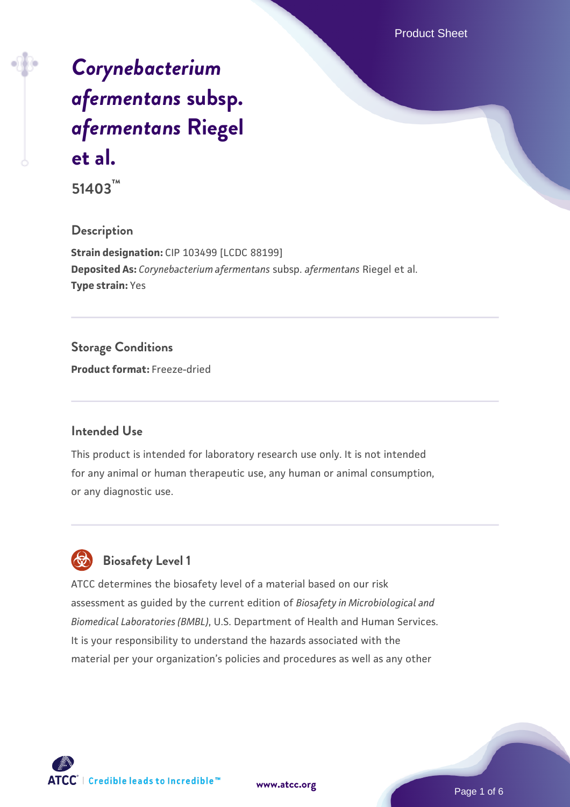# *[Corynebacterium](https://www.atcc.org/products/51403) [afermentans](https://www.atcc.org/products/51403)* **[subsp.](https://www.atcc.org/products/51403)** *[afermentans](https://www.atcc.org/products/51403)* **[Riegel](https://www.atcc.org/products/51403) [et al.](https://www.atcc.org/products/51403)**

**51403™**

#### **Description**

**Strain designation:** CIP 103499 [LCDC 88199] **Deposited As:** *Corynebacterium afermentans* subsp. *afermentans* Riegel et al. **Type strain:** Yes

### **Storage Conditions**

**Product format:** Freeze-dried

#### **Intended Use**

This product is intended for laboratory research use only. It is not intended for any animal or human therapeutic use, any human or animal consumption, or any diagnostic use.

# **Biosafety Level 1**

ATCC determines the biosafety level of a material based on our risk assessment as guided by the current edition of *Biosafety in Microbiological and Biomedical Laboratories (BMBL)*, U.S. Department of Health and Human Services. It is your responsibility to understand the hazards associated with the material per your organization's policies and procedures as well as any other

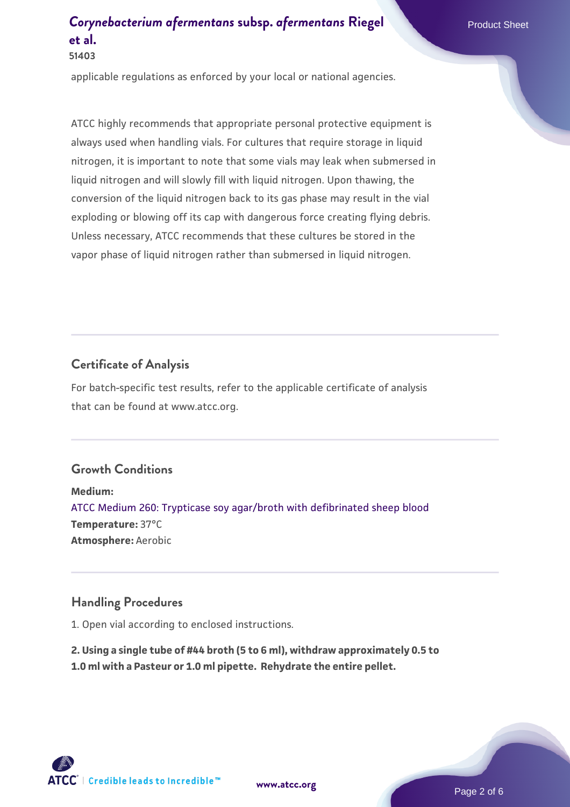applicable regulations as enforced by your local or national agencies.

ATCC highly recommends that appropriate personal protective equipment is always used when handling vials. For cultures that require storage in liquid nitrogen, it is important to note that some vials may leak when submersed in liquid nitrogen and will slowly fill with liquid nitrogen. Upon thawing, the conversion of the liquid nitrogen back to its gas phase may result in the vial exploding or blowing off its cap with dangerous force creating flying debris. Unless necessary, ATCC recommends that these cultures be stored in the vapor phase of liquid nitrogen rather than submersed in liquid nitrogen.

#### **Certificate of Analysis**

For batch-specific test results, refer to the applicable certificate of analysis that can be found at www.atcc.org.

#### **Growth Conditions**

**Medium:**  [ATCC Medium 260: Trypticase soy agar/broth with defibrinated sheep blood](https://www.atcc.org/-/media/product-assets/documents/microbial-media-formulations/2/6/0/atcc-medium-0260.pdf?rev=5d6614780b1c4acf817a324e2507f087) **Temperature:** 37°C **Atmosphere:** Aerobic

#### **Handling Procedures**

1. Open vial according to enclosed instructions.

**2. Using a single tube of #44 broth (5 to 6 ml), withdraw approximately 0.5 to 1.0 ml with a Pasteur or 1.0 ml pipette. Rehydrate the entire pellet.**

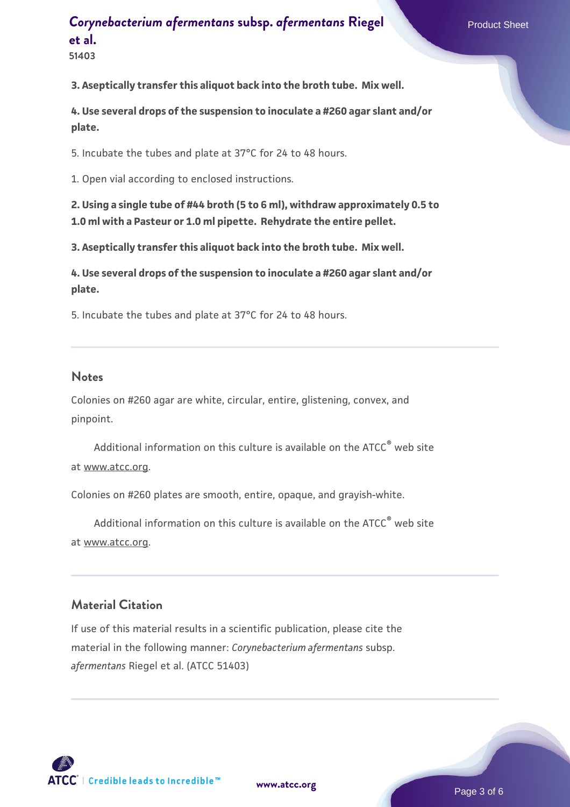**51403**

**3. Aseptically transfer this aliquot back into the broth tube. Mix well.**

**4. Use several drops of the suspension to inoculate a #260 agar slant and/or plate.**

5. Incubate the tubes and plate at 37°C for 24 to 48 hours.

1. Open vial according to enclosed instructions.

**2. Using a single tube of #44 broth (5 to 6 ml), withdraw approximately 0.5 to 1.0 ml with a Pasteur or 1.0 ml pipette. Rehydrate the entire pellet.**

**3. Aseptically transfer this aliquot back into the broth tube. Mix well.**

**4. Use several drops of the suspension to inoculate a #260 agar slant and/or plate.**

5. Incubate the tubes and plate at 37°C for 24 to 48 hours.

#### **Notes**

Colonies on #260 agar are white, circular, entire, glistening, convex, and pinpoint.

Additional information on this culture is available on the ATCC<sup>®</sup> web site at www.atcc.org.

Colonies on #260 plates are smooth, entire, opaque, and grayish-white.

Additional information on this culture is available on the ATCC<sup>®</sup> web site at www.atcc.org.

#### **Material Citation**

If use of this material results in a scientific publication, please cite the material in the following manner: *Corynebacterium afermentans* subsp. *afermentans* Riegel et al. (ATCC 51403)

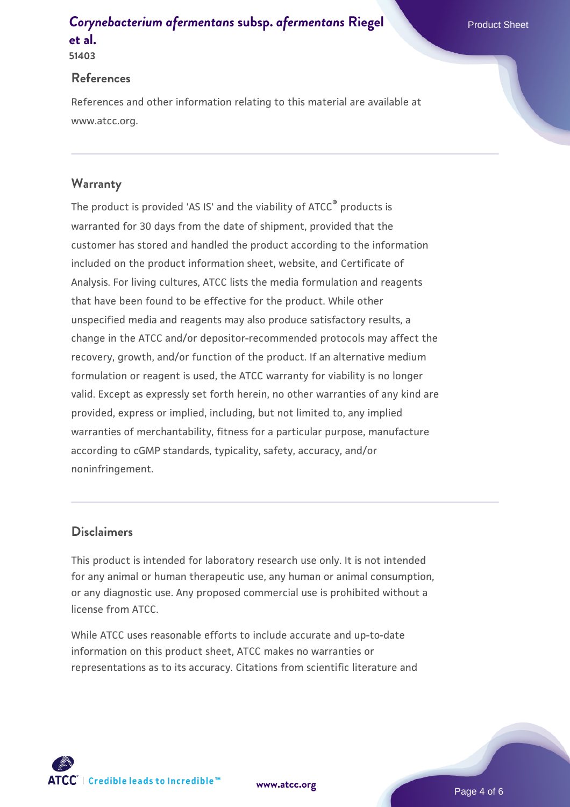#### **References**

References and other information relating to this material are available at www.atcc.org.

#### **Warranty**

The product is provided 'AS IS' and the viability of ATCC® products is warranted for 30 days from the date of shipment, provided that the customer has stored and handled the product according to the information included on the product information sheet, website, and Certificate of Analysis. For living cultures, ATCC lists the media formulation and reagents that have been found to be effective for the product. While other unspecified media and reagents may also produce satisfactory results, a change in the ATCC and/or depositor-recommended protocols may affect the recovery, growth, and/or function of the product. If an alternative medium formulation or reagent is used, the ATCC warranty for viability is no longer valid. Except as expressly set forth herein, no other warranties of any kind are provided, express or implied, including, but not limited to, any implied warranties of merchantability, fitness for a particular purpose, manufacture according to cGMP standards, typicality, safety, accuracy, and/or noninfringement.

#### **Disclaimers**

This product is intended for laboratory research use only. It is not intended for any animal or human therapeutic use, any human or animal consumption, or any diagnostic use. Any proposed commercial use is prohibited without a license from ATCC.

While ATCC uses reasonable efforts to include accurate and up-to-date information on this product sheet, ATCC makes no warranties or representations as to its accuracy. Citations from scientific literature and

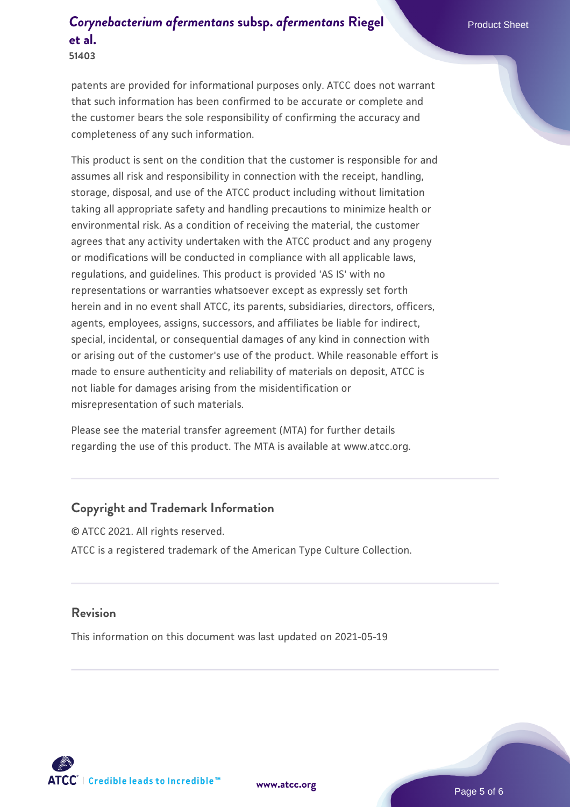**51403**

patents are provided for informational purposes only. ATCC does not warrant that such information has been confirmed to be accurate or complete and the customer bears the sole responsibility of confirming the accuracy and completeness of any such information.

This product is sent on the condition that the customer is responsible for and assumes all risk and responsibility in connection with the receipt, handling, storage, disposal, and use of the ATCC product including without limitation taking all appropriate safety and handling precautions to minimize health or environmental risk. As a condition of receiving the material, the customer agrees that any activity undertaken with the ATCC product and any progeny or modifications will be conducted in compliance with all applicable laws, regulations, and guidelines. This product is provided 'AS IS' with no representations or warranties whatsoever except as expressly set forth herein and in no event shall ATCC, its parents, subsidiaries, directors, officers, agents, employees, assigns, successors, and affiliates be liable for indirect, special, incidental, or consequential damages of any kind in connection with or arising out of the customer's use of the product. While reasonable effort is made to ensure authenticity and reliability of materials on deposit, ATCC is not liable for damages arising from the misidentification or misrepresentation of such materials.

Please see the material transfer agreement (MTA) for further details regarding the use of this product. The MTA is available at www.atcc.org.

#### **Copyright and Trademark Information**

© ATCC 2021. All rights reserved. ATCC is a registered trademark of the American Type Culture Collection.

#### **Revision**

This information on this document was last updated on 2021-05-19